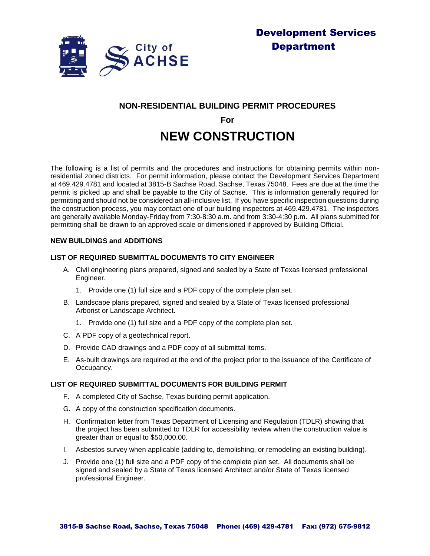

### **NON-RESIDENTIAL BUILDING PERMIT PROCEDURES**

**For** 

# **NEW CONSTRUCTION**

The following is a list of permits and the procedures and instructions for obtaining permits within nonresidential zoned districts. For permit information, please contact the Development Services Department at 469.429.4781 and located at 3815-B Sachse Road, Sachse, Texas 75048. Fees are due at the time the permit is picked up and shall be payable to the City of Sachse. This is information generally required for permitting and should not be considered an all-inclusive list. If you have specific inspection questions during the construction process, you may contact one of our building inspectors at 469.429.4781. The inspectors are generally available Monday-Friday from 7:30-8:30 a.m. and from 3:30-4:30 p.m. All plans submitted for permitting shall be drawn to an approved scale or dimensioned if approved by Building Official.

#### **NEW BUILDINGS and ADDITIONS**

#### **LIST OF REQUIRED SUBMITTAL DOCUMENTS TO CITY ENGINEER**

- A. Civil engineering plans prepared, signed and sealed by a State of Texas licensed professional Engineer.
	- 1. Provide one (1) full size and a PDF copy of the complete plan set.
- B. Landscape plans prepared, signed and sealed by a State of Texas licensed professional Arborist or Landscape Architect.
	- 1. Provide one (1) full size and a PDF copy of the complete plan set.
- C. A PDF copy of a geotechnical report.
- D. Provide CAD drawings and a PDF copy of all submittal items.
- E. As-built drawings are required at the end of the project prior to the issuance of the Certificate of Occupancy.

#### **LIST OF REQUIRED SUBMITTAL DOCUMENTS FOR BUILDING PERMIT**

- F. A completed City of Sachse, Texas building permit application.
- G. A copy of the construction specification documents.
- H. Confirmation letter from Texas Department of Licensing and Regulation (TDLR) showing that the project has been submitted to TDLR for accessibility review when the construction value is greater than or equal to \$50,000.00.
- I. Asbestos survey when applicable (adding to, demolishing, or remodeling an existing building).
- J. Provide one (1) full size and a PDF copy of the complete plan set. All documents shall be signed and sealed by a State of Texas licensed Architect and/or State of Texas licensed professional Engineer.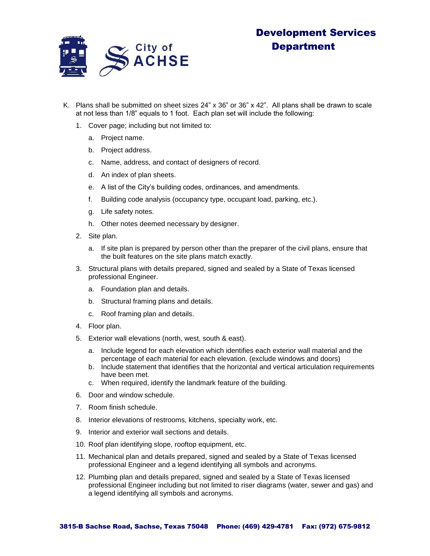

## Development Services Department

- K. Plans shall be submitted on sheet sizes 24" x 36" or 36" x 42". All plans shall be drawn to scale at not less than 1/8" equals to 1 foot. Each plan set will include the following:
	- 1. Cover page; including but not limited to:
		- a. Project name.
		- b. Project address.
		- c. Name, address, and contact of designers of record.
		- d. An index of plan sheets.
		- e. A list of the City's building codes, ordinances, and amendments.
		- f. Building code analysis (occupancy type, occupant load, parking, etc.).
		- g. Life safety notes.
		- h. Other notes deemed necessary by designer.
	- 2. Site plan.
		- a. If site plan is prepared by person other than the preparer of the civil plans, ensure that the built features on the site plans match exactly.
	- 3. Structural plans with details prepared, signed and sealed by a State of Texas licensed professional Engineer.
		- a. Foundation plan and details.
		- b. Structural framing plans and details.
		- c. Roof framing plan and details.
	- 4. Floor plan.
	- 5. Exterior wall elevations (north, west, south & east).
		- a. Include legend for each elevation which identifies each exterior wall material and the percentage of each material for each elevation. (exclude windows and doors)
		- b. Include statement that identifies that the horizontal and vertical articulation requirements have been met.
		- c. When required, identify the landmark feature of the building.
	- 6. Door and window schedule.
	- 7. Room finish schedule.
	- 8. Interior elevations of restrooms, kitchens, specialty work, etc.
	- 9. Interior and exterior wall sections and details.
	- 10. Roof plan identifying slope, rooftop equipment, etc.
	- 11. Mechanical plan and details prepared, signed and sealed by a State of Texas licensed professional Engineer and a legend identifying all symbols and acronyms.
	- 12. Plumbing plan and details prepared, signed and sealed by a State of Texas licensed professional Engineer including but not limited to riser diagrams (water, sewer and gas) and a legend identifying all symbols and acronyms.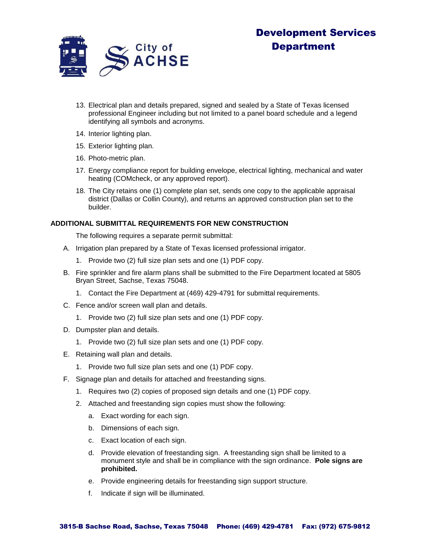

- 13. Electrical plan and details prepared, signed and sealed by a State of Texas licensed professional Engineer including but not limited to a panel board schedule and a legend identifying all symbols and acronyms.
- 14. Interior lighting plan.
- 15. Exterior lighting plan.
- 16. Photo-metric plan.
- 17. Energy compliance report for building envelope, electrical lighting, mechanical and water heating (COMcheck, or any approved report).
- 18. The City retains one (1) complete plan set, sends one copy to the applicable appraisal district (Dallas or Collin County), and returns an approved construction plan set to the builder.

#### **ADDITIONAL SUBMITTAL REQUIREMENTS FOR NEW CONSTRUCTION**

The following requires a separate permit submittal:

- A. Irrigation plan prepared by a State of Texas licensed professional irrigator.
	- 1. Provide two (2) full size plan sets and one (1) PDF copy.
- B. Fire sprinkler and fire alarm plans shall be submitted to the Fire Department located at 5805 Bryan Street, Sachse, Texas 75048.
	- 1. Contact the Fire Department at (469) 429-4791 for submittal requirements.
- C. Fence and/or screen wall plan and details.
	- 1. Provide two (2) full size plan sets and one (1) PDF copy.
- D. Dumpster plan and details.
	- 1. Provide two (2) full size plan sets and one (1) PDF copy.
- E. Retaining wall plan and details.
	- 1. Provide two full size plan sets and one (1) PDF copy.
- F. Signage plan and details for attached and freestanding signs.
	- 1. Requires two (2) copies of proposed sign details and one (1) PDF copy.
	- 2. Attached and freestanding sign copies must show the following:
		- a. Exact wording for each sign.
		- b. Dimensions of each sign.
		- c. Exact location of each sign.
		- d. Provide elevation of freestanding sign. A freestanding sign shall be limited to a monument style and shall be in compliance with the sign ordinance. **Pole signs are prohibited.**
		- e. Provide engineering details for freestanding sign support structure.
		- f. Indicate if sign will be illuminated.